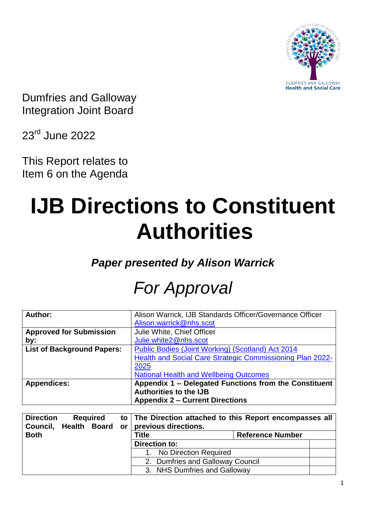

Dumfries and Galloway Integration Joint Board

23rd June 2022

This Report relates to Item 6 on the Agenda

# **IJB Directions to Constituent Authorities**

*Paper presented by Alison Warrick*

# *For Approval*

| Author:                           | Alison Warrick, IJB Standards Officer/Governance Officer  |  |  |
|-----------------------------------|-----------------------------------------------------------|--|--|
|                                   | Alison.warrick@nhs.scot                                   |  |  |
| <b>Approved for Submission</b>    | Julie White, Chief Officer                                |  |  |
| by:                               | Julie.white2@nhs.scot                                     |  |  |
| <b>List of Background Papers:</b> | Public Bodies (Joint Working) (Scotland) Act 2014         |  |  |
|                                   | Health and Social Care Strategic Commissioning Plan 2022- |  |  |
|                                   | 2025                                                      |  |  |
|                                   | <b>National Health and Wellbeing Outcomes</b>             |  |  |
| <b>Appendices:</b>                | Appendix 1 - Delegated Functions from the Constituent     |  |  |
|                                   | <b>Authorities to the IJB</b>                             |  |  |
|                                   | <b>Appendix 2 - Current Directions</b>                    |  |  |

| <b>Direction</b><br>Council, Health Board |  | <b>Required</b>              | or | to The Direction attached to this Report encompasses all<br>previous directions. |                         |
|-------------------------------------------|--|------------------------------|----|----------------------------------------------------------------------------------|-------------------------|
| <b>Both</b>                               |  |                              |    | Title                                                                            | <b>Reference Number</b> |
|                                           |  |                              |    | Direction to:                                                                    |                         |
|                                           |  |                              |    | No Direction Required                                                            |                         |
|                                           |  |                              |    | 2. Dumfries and Galloway Council                                                 |                         |
|                                           |  | 3. NHS Dumfries and Galloway |    |                                                                                  |                         |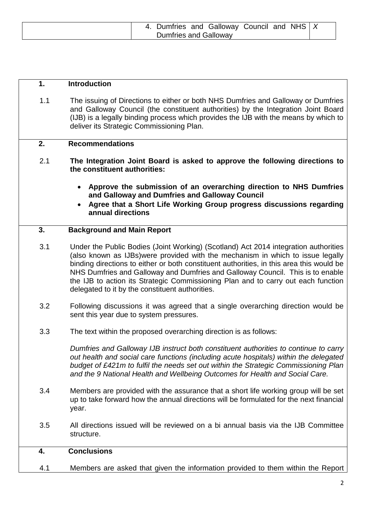| 4. Dumfries and Galloway Council and NHS $ X $ |  |  |  |
|------------------------------------------------|--|--|--|
| Dumfries and Galloway                          |  |  |  |

# **1. Introduction**

1.1 The issuing of Directions to either or both NHS Dumfries and Galloway or Dumfries and Galloway Council (the constituent authorities) by the Integration Joint Board (IJB) is a legally binding process which provides the IJB with the means by which to deliver its Strategic Commissioning Plan.

#### **2. Recommendations**

- 2.1 **The Integration Joint Board is asked to approve the following directions to the constituent authorities:**
	- **Approve the submission of an overarching direction to NHS Dumfries and Galloway and Dumfries and Galloway Council**
	- **Agree that a Short Life Working Group progress discussions regarding annual directions**

# **3. Background and Main Report**

- 3.1 Under the Public Bodies (Joint Working) (Scotland) Act 2014 integration authorities (also known as IJBs)were provided with the mechanism in which to issue legally binding directions to either or both constituent authorities, in this area this would be NHS Dumfries and Galloway and Dumfries and Galloway Council. This is to enable the IJB to action its Strategic Commissioning Plan and to carry out each function delegated to it by the constituent authorities.
- 3.2 Following discussions it was agreed that a single overarching direction would be sent this year due to system pressures.
- 3.3 The text within the proposed overarching direction is as follows:

*Dumfries and Galloway IJB instruct both constituent authorities to continue to carry out health and social care functions (including acute hospitals) within the delegated budget of £421m to fulfil the needs set out within the Strategic Commissioning Plan and the 9 National Health and Wellbeing Outcomes for Health and Social Care.*

- 3.4 Members are provided with the assurance that a short life working group will be set up to take forward how the annual directions will be formulated for the next financial year.
- 3.5 All directions issued will be reviewed on a bi annual basis via the IJB Committee structure.

# **4. Conclusions**

4.1 Members are asked that given the information provided to them within the Report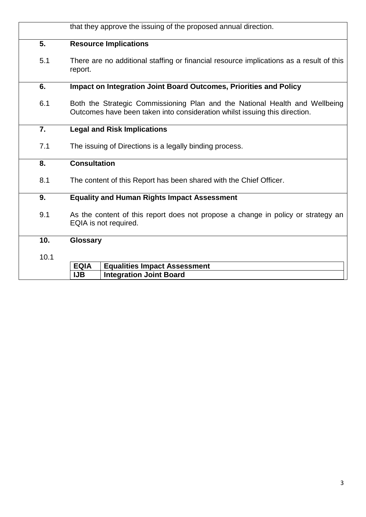|                  | that they approve the issuing of the proposed annual direction.                                                                                           |  |  |  |
|------------------|-----------------------------------------------------------------------------------------------------------------------------------------------------------|--|--|--|
| 5.               | <b>Resource Implications</b>                                                                                                                              |  |  |  |
| 5.1              | There are no additional staffing or financial resource implications as a result of this<br>report.                                                        |  |  |  |
| 6.               | Impact on Integration Joint Board Outcomes, Priorities and Policy                                                                                         |  |  |  |
| 6.1              | Both the Strategic Commissioning Plan and the National Health and Wellbeing<br>Outcomes have been taken into consideration whilst issuing this direction. |  |  |  |
| $\overline{7}$ . | <b>Legal and Risk Implications</b>                                                                                                                        |  |  |  |
| 7.1              | The issuing of Directions is a legally binding process.                                                                                                   |  |  |  |
| 8.               | <b>Consultation</b>                                                                                                                                       |  |  |  |
| 8.1              | The content of this Report has been shared with the Chief Officer.                                                                                        |  |  |  |
| 9.               | <b>Equality and Human Rights Impact Assessment</b>                                                                                                        |  |  |  |
| 9.1              | As the content of this report does not propose a change in policy or strategy an<br>EQIA is not required.                                                 |  |  |  |
| 10.              | <b>Glossary</b>                                                                                                                                           |  |  |  |
| 10.1             |                                                                                                                                                           |  |  |  |
|                  | <b>EQIA</b><br><b>Equalities Impact Assessment</b>                                                                                                        |  |  |  |
|                  | <b>IJB</b><br><b>Integration Joint Board</b>                                                                                                              |  |  |  |
|                  |                                                                                                                                                           |  |  |  |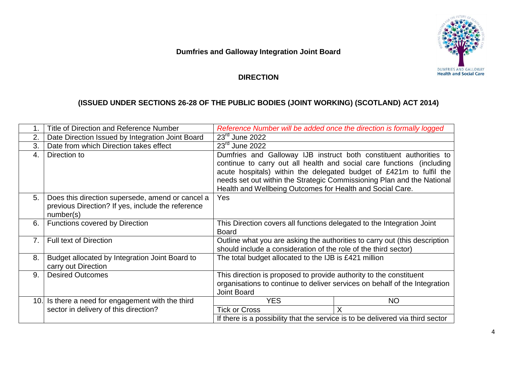DUMFRIES AND GALLOWAY

# **Dumfries and Galloway Integration Joint Board**

# **DIRECTION**

# **(ISSUED UNDER SECTIONS 26-28 OF THE PUBLIC BODIES (JOINT WORKING) (SCOTLAND) ACT 2014)**

|      | Title of Direction and Reference Number                                                                            | Reference Number will be added once the direction is formally logged                                                                                                   |                                                                                                                                                                                                                                                                                              |  |
|------|--------------------------------------------------------------------------------------------------------------------|------------------------------------------------------------------------------------------------------------------------------------------------------------------------|----------------------------------------------------------------------------------------------------------------------------------------------------------------------------------------------------------------------------------------------------------------------------------------------|--|
| 2.   | Date Direction Issued by Integration Joint Board                                                                   | $23rd$ June 2022                                                                                                                                                       |                                                                                                                                                                                                                                                                                              |  |
| 3.   | Date from which Direction takes effect                                                                             | $23^{\text{rd}}$ June 2022                                                                                                                                             |                                                                                                                                                                                                                                                                                              |  |
| 4.   | Direction to                                                                                                       | Health and Wellbeing Outcomes for Health and Social Care.                                                                                                              | Dumfries and Galloway IJB instruct both constituent authorities to<br>continue to carry out all health and social care functions (including<br>acute hospitals) within the delegated budget of £421m to fulfil the<br>needs set out within the Strategic Commissioning Plan and the National |  |
| 5.   | Does this direction supersede, amend or cancel a<br>previous Direction? If yes, include the reference<br>number(s) | <b>Yes</b>                                                                                                                                                             |                                                                                                                                                                                                                                                                                              |  |
| 6.   | <b>Functions covered by Direction</b>                                                                              | This Direction covers all functions delegated to the Integration Joint<br><b>Board</b>                                                                                 |                                                                                                                                                                                                                                                                                              |  |
| 7.   | <b>Full text of Direction</b>                                                                                      | Outline what you are asking the authorities to carry out (this description<br>should include a consideration of the role of the third sector)                          |                                                                                                                                                                                                                                                                                              |  |
| 8.   | Budget allocated by Integration Joint Board to<br>carry out Direction                                              | The total budget allocated to the IJB is £421 million                                                                                                                  |                                                                                                                                                                                                                                                                                              |  |
| 9.   | <b>Desired Outcomes</b>                                                                                            | This direction is proposed to provide authority to the constituent<br>organisations to continue to deliver services on behalf of the Integration<br><b>Joint Board</b> |                                                                                                                                                                                                                                                                                              |  |
| 10.1 | Is there a need for engagement with the third                                                                      | <b>YES</b>                                                                                                                                                             | <b>NO</b>                                                                                                                                                                                                                                                                                    |  |
|      | sector in delivery of this direction?                                                                              | <b>Tick or Cross</b>                                                                                                                                                   | X                                                                                                                                                                                                                                                                                            |  |
|      |                                                                                                                    | If there is a possibility that the service is to be delivered via third sector                                                                                         |                                                                                                                                                                                                                                                                                              |  |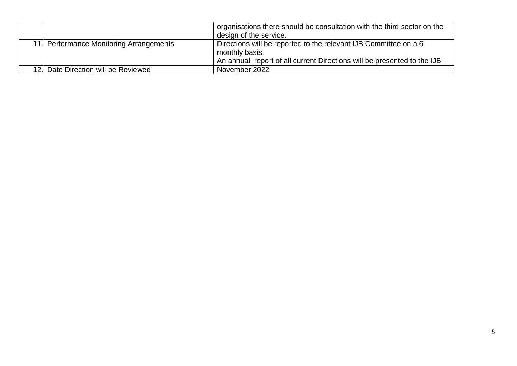|                                         |                                     | organisations there should be consultation with the third sector on the<br>design of the service.                                                             |  |
|-----------------------------------------|-------------------------------------|---------------------------------------------------------------------------------------------------------------------------------------------------------------|--|
| 11. Performance Monitoring Arrangements |                                     | Directions will be reported to the relevant IJB Committee on a 6<br>monthly basis.<br>An annual report of all current Directions will be presented to the IJB |  |
|                                         | 12. Date Direction will be Reviewed | November 2022                                                                                                                                                 |  |